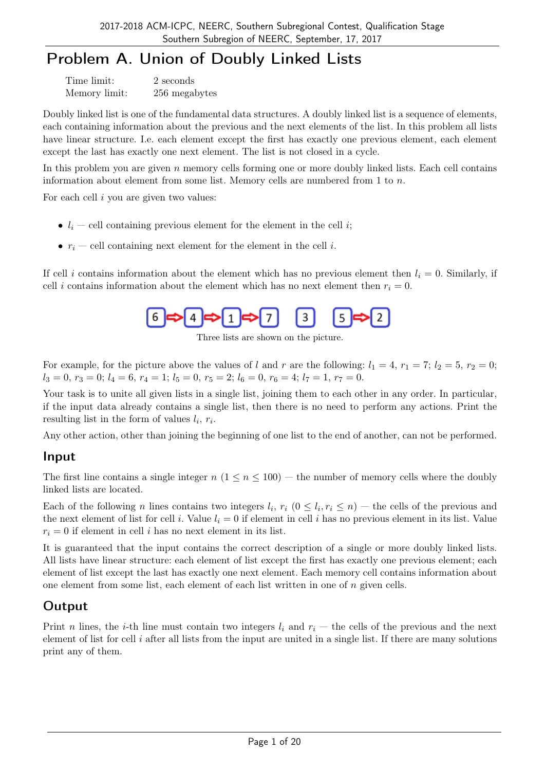# Problem A. Union of Doubly Linked Lists

| Time limit:   | 2 seconds     |
|---------------|---------------|
| Memory limit: | 256 megabytes |

Doubly linked list is one of the fundamental data structures. A doubly linked list is a sequence of elements, each containing information about the previous and the next elements of the list. In this problem all lists have linear structure. I.e. each element except the first has exactly one previous element, each element except the last has exactly one next element. The list is not closed in a cycle.

In this problem you are given *n* memory cells forming one or more doubly linked lists. Each cell contains information about element from some list. Memory cells are numbered from 1 to *n*.

For each cell *i* you are given two values:

- $l_i$  cell containing previous element for the element in the cell *i*;
- $r_i$  cell containing next element for the element in the cell *i*.

If cell *i* contains information about the element which has no previous element then  $l_i = 0$ . Similarly, if cell *i* contains information about the element which has no next element then  $r_i = 0$ .



Three lists are shown on the picture.

For example, for the picture above the values of *l* and *r* are the following:  $l_1 = 4$ ,  $r_1 = 7$ ;  $l_2 = 5$ ,  $r_2 = 0$ ;  $l_3 = 0, r_3 = 0; l_4 = 6, r_4 = 1; l_5 = 0, r_5 = 2; l_6 = 0, r_6 = 4; l_7 = 1, r_7 = 0.$ 

Your task is to unite all given lists in a single list, joining them to each other in any order. In particular, if the input data already contains a single list, then there is no need to perform any actions. Print the resulting list in the form of values  $l_i, r_i$ .

Any other action, other than joining the beginning of one list to the end of another, can not be performed.

#### Input

The first line contains a single integer  $n (1 \le n \le 100)$  — the number of memory cells where the doubly linked lists are located.

Each of the following *n* lines contains two integers  $l_i$ ,  $r_i$   $(0 \leq l_i, r_i \leq n)$  — the cells of the previous and the next element of list for cell *i*. Value  $l_i = 0$  if element in cell *i* has no previous element in its list. Value  $r_i = 0$  if element in cell *i* has no next element in its list.

It is guaranteed that the input contains the correct description of a single or more doubly linked lists. All lists have linear structure: each element of list except the first has exactly one previous element; each element of list except the last has exactly one next element. Each memory cell contains information about one element from some list, each element of each list written in one of *n* given cells.

## **Output**

Print *n* lines, the *i*-th line must contain two integers  $l_i$  and  $r_i$  — the cells of the previous and the next element of list for cell *i* after all lists from the input are united in a single list. If there are many solutions print any of them.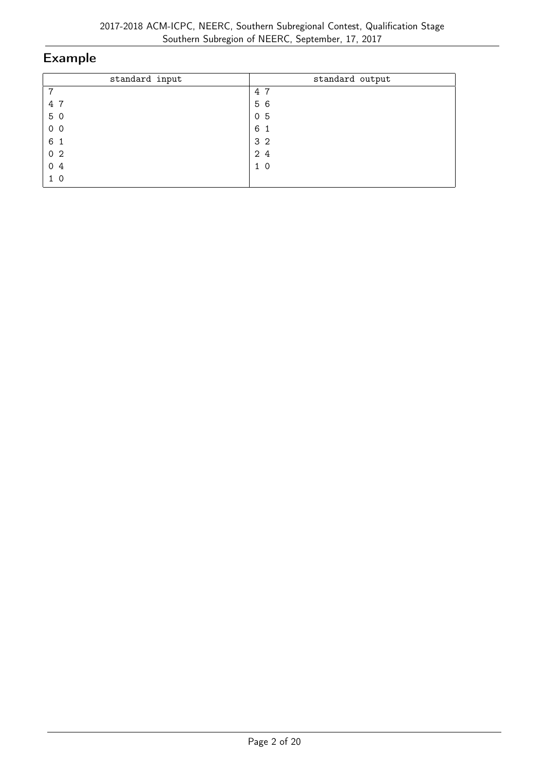| standard input | standard output |
|----------------|-----------------|
| 7              | 4 7             |
| 4 7            | 5 6             |
| 5 0            | 0 <sub>5</sub>  |
| $0\quad0$      | 6<br>-1         |
| 6 1            | 3 <sub>2</sub>  |
| 0 <sub>2</sub> | 24              |
| 0 <sub>4</sub> | 1 <sub>0</sub>  |
| 1 <sub>0</sub> |                 |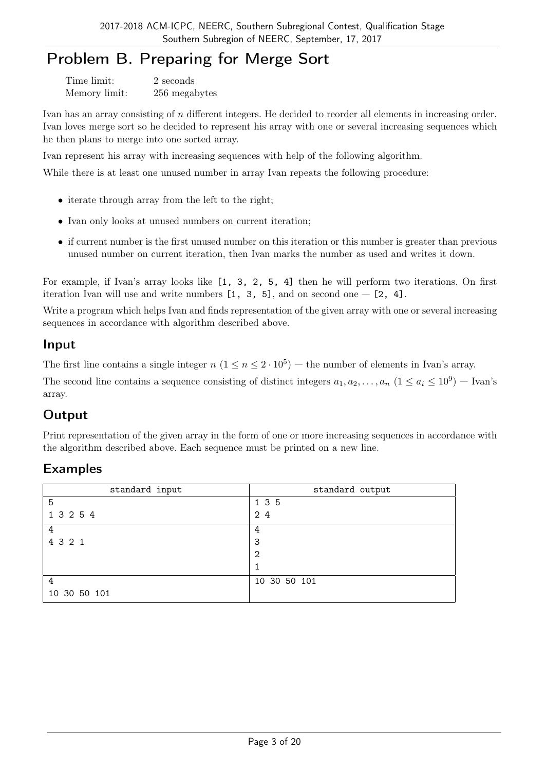# Problem B. Preparing for Merge Sort

Time limit: 2 seconds Memory limit: 256 megabytes

Ivan has an array consisting of *n* different integers. He decided to reorder all elements in increasing order. Ivan loves merge sort so he decided to represent his array with one or several increasing sequences which he then plans to merge into one sorted array.

Ivan represent his array with increasing sequences with help of the following algorithm.

While there is at least one unused number in array Ivan repeats the following procedure:

- iterate through array from the left to the right:
- Ivan only looks at unused numbers on current iteration:
- if current number is the first unused number on this iteration or this number is greater than previous unused number on current iteration, then Ivan marks the number as used and writes it down.

For example, if Ivan's array looks like [1, 3, 2, 5, 4] then he will perform two iterations. On first iteration Ivan will use and write numbers  $[1, 3, 5]$ , and on second one  $[2, 4]$ .

Write a program which helps Ivan and finds representation of the given array with one or several increasing sequences in accordance with algorithm described above.

#### Input

The first line contains a single integer  $n$   $(1 \le n \le 2 \cdot 10^5)$  — the number of elements in Ivan's array.

The second line contains a sequence consisting of distinct integers  $a_1, a_2, \ldots, a_n$   $(1 \le a_i \le 10^9)$  – Ivan's array.

## **Output**

Print representation of the given array in the form of one or more increasing sequences in accordance with the algorithm described above. Each sequence must be printed on a new line.

| standard input | standard output |
|----------------|-----------------|
| 5              | 1 3 5           |
| 1 3 2 5 4      | 24              |
| 4              | 4               |
| 4 3 2 1        | 3               |
|                | 2               |
|                |                 |
| 4              | 10 30 50 101    |
| 10 30 50 101   |                 |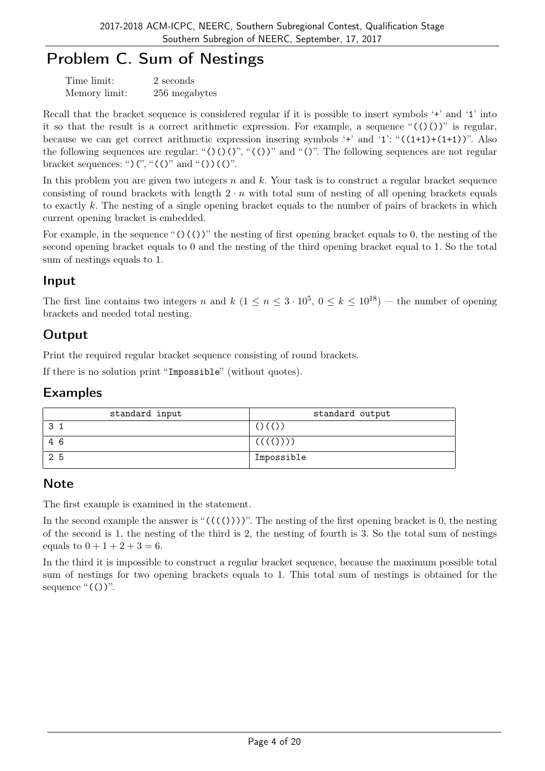# Problem C. Sum of Nestings

| Time limit:   | 2 seconds     |
|---------------|---------------|
| Memory limit: | 256 megabytes |

Recall that the bracket sequence is considered regular if it is possible to insert symbols '+' and '1' into it so that the result is a correct arithmetic expression. For example, a sequence " $(0)$ " is regular, because we can get correct arithmetic expression insering symbols '+' and '1': " $((1+1)+(1+1))$ ". Also the following sequences are regular: " $()()$ ", " $()$ ", and " $()$ ". The following sequences are not regular bracket sequences: ") $($ ", " $(()$ " and " $($ ) $)(()$ ".

In this problem you are given two integers *n* and *k*. Your task is to construct a regular bracket sequence consisting of round brackets with length  $2 \cdot n$  with total sum of nesting of all opening brackets equals to exactly *k*. The nesting of a single opening bracket equals to the number of pairs of brackets in which current opening bracket is embedded.

For example, in the sequence " $()$  $()$ " the nesting of first opening bracket equals to 0, the nesting of the second opening bracket equals to 0 and the nesting of the third opening bracket equal to 1. So the total sum of nestings equals to 1.

## Input

The first line contains two integers *n* and  $k$  ( $1 \le n \le 3 \cdot 10^5$ ,  $0 \le k \le 10^{18}$ ) — the number of opening brackets and needed total nesting.

## **Output**

Print the required regular bracket sequence consisting of round brackets.

If there is no solution print "Impossible" (without quotes).

## Examples

| standard input | standard output |
|----------------|-----------------|
| 3              | $()$ $()()$     |
| 46             | (((())))        |
| 25             | Impossible      |

## Note

The first example is examined in the statement.

In the second example the answer is " $(((())))$ ". The nesting of the first opening bracket is 0, the nesting of the second is 1, the nesting of the third is 2, the nesting of fourth is 3. So the total sum of nestings equals to  $0 + 1 + 2 + 3 = 6$ .

In the third it is impossible to construct a regular bracket sequence, because the maximum possible total sum of nestings for two opening brackets equals to 1. This total sum of nestings is obtained for the sequence " $(())$ ".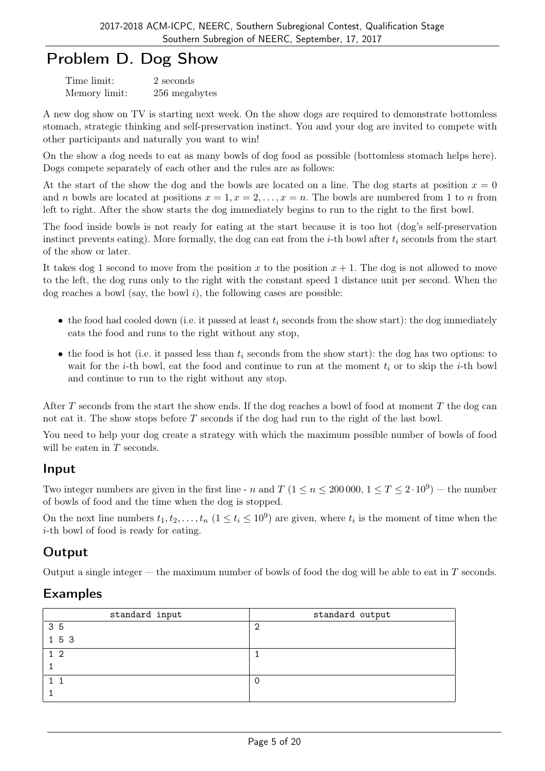## Problem D. Dog Show

| Time limit:   | 2 seconds     |
|---------------|---------------|
| Memory limit: | 256 megabytes |

A new dog show on TV is starting next week. On the show dogs are required to demonstrate bottomless stomach, strategic thinking and self-preservation instinct. You and your dog are invited to compete with other participants and naturally you want to win!

On the show a dog needs to eat as many bowls of dog food as possible (bottomless stomach helps here). Dogs compete separately of each other and the rules are as follows:

At the start of the show the dog and the bowls are located on a line. The dog starts at position  $x = 0$ and *n* bowls are located at positions  $x = 1, x = 2, \ldots, x = n$ . The bowls are numbered from 1 to *n* from left to right. After the show starts the dog immediately begins to run to the right to the first bowl.

The food inside bowls is not ready for eating at the start because it is too hot (dog's self-preservation instinct prevents eating). More formally, the dog can eat from the *i*-th bowl after *t<sup>i</sup>* seconds from the start of the show or later.

It takes dog 1 second to move from the position  $x$  to the position  $x + 1$ . The dog is not allowed to move to the left, the dog runs only to the right with the constant speed 1 distance unit per second. When the dog reaches a bowl (say, the bowl *i*), the following cases are possible:

- the food had cooled down (i.e. it passed at least  $t_i$  seconds from the show start): the dog immediately eats the food and runs to the right without any stop,
- *•* the food is hot (i.e. it passed less than *t<sup>i</sup>* seconds from the show start): the dog has two options: to wait for the *i*-th bowl, eat the food and continue to run at the moment *t<sup>i</sup>* or to skip the *i*-th bowl and continue to run to the right without any stop.

After *T* seconds from the start the show ends. If the dog reaches a bowl of food at moment *T* the dog can not eat it. The show stops before *T* seconds if the dog had run to the right of the last bowl.

You need to help your dog create a strategy with which the maximum possible number of bowls of food will be eaten in *T* seconds.

#### Input

Two integer numbers are given in the first line - *n* and  $T$  ( $1 \le n \le 200000$ ,  $1 \le T \le 2 \cdot 10^9$ ) — the number of bowls of food and the time when the dog is stopped.

On the next line numbers  $t_1, t_2, \ldots, t_n$   $(1 \le t_i \le 10^9)$  are given, where  $t_i$  is the moment of time when the *i*-th bowl of food is ready for eating.

## Output

Output a single integer — the maximum number of bowls of food the dog will be able to eat in *T* seconds.

| standard input | standard output |
|----------------|-----------------|
| 35             | ◠               |
| 1 5 3          |                 |
| 1 <sub>2</sub> |                 |
|                |                 |
|                |                 |
|                |                 |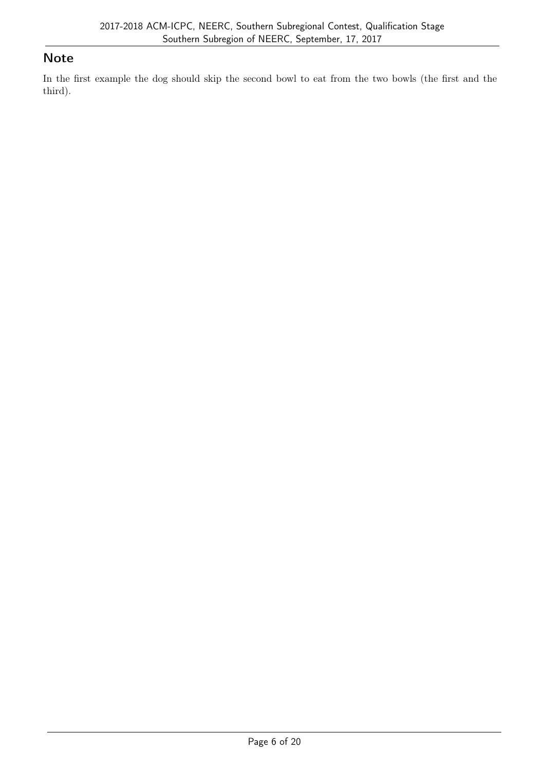## **Note**

In the first example the dog should skip the second bowl to eat from the two bowls (the first and the third).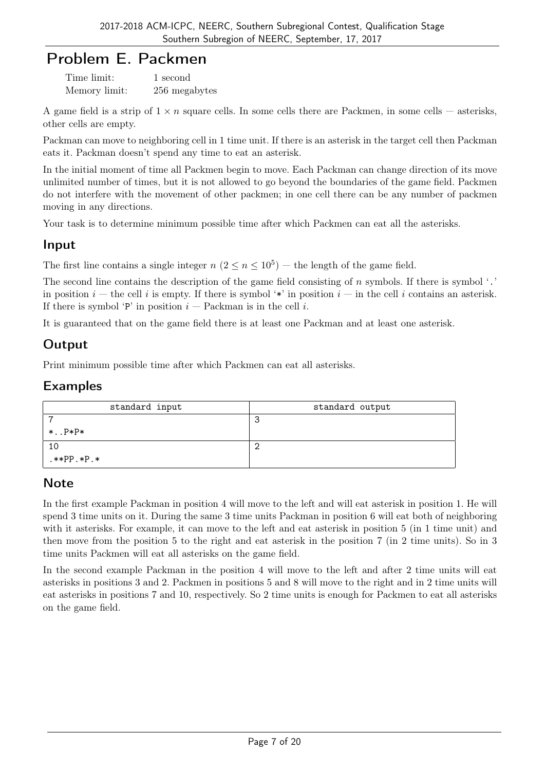## Problem E. Packmen

Time limit: 1 second Memory limit: 256 megabytes

A game field is a strip of  $1 \times n$  square cells. In some cells there are Packmen, in some cells — asterisks, other cells are empty.

Packman can move to neighboring cell in 1 time unit. If there is an asterisk in the target cell then Packman eats it. Packman doesn't spend any time to eat an asterisk.

In the initial moment of time all Packmen begin to move. Each Packman can change direction of its move unlimited number of times, but it is not allowed to go beyond the boundaries of the game field. Packmen do not interfere with the movement of other packmen; in one cell there can be any number of packmen moving in any directions.

Your task is to determine minimum possible time after which Packmen can eat all the asterisks.

## Input

The first line contains a single integer  $n (2 \le n \le 10^5)$  — the length of the game field.

The second line contains the description of the game field consisting of *n* symbols. If there is symbol '.' in position  $i$  — the cell i is empty. If there is symbol '\*' in position  $i$  — in the cell i contains an asterisk. If there is symbol 'P' in position  $i$  — Packman is in the cell  $i$ .

It is guaranteed that on the game field there is at least one Packman and at least one asterisk.

## **Output**

Print minimum possible time after which Packmen can eat all asterisks.

#### Examples

| standard input | standard output |
|----------------|-----------------|
|                |                 |
| $*.$ $P*P*$    |                 |
| 10             |                 |
| $.**PP.*P.*$   |                 |

## **Note**

In the first example Packman in position 4 will move to the left and will eat asterisk in position 1. He will spend 3 time units on it. During the same 3 time units Packman in position 6 will eat both of neighboring with it asterisks. For example, it can move to the left and eat asterisk in position 5 (in 1 time unit) and then move from the position 5 to the right and eat asterisk in the position 7 (in 2 time units). So in 3 time units Packmen will eat all asterisks on the game field.

In the second example Packman in the position 4 will move to the left and after 2 time units will eat asterisks in positions 3 and 2. Packmen in positions 5 and 8 will move to the right and in 2 time units will eat asterisks in positions 7 and 10, respectively. So 2 time units is enough for Packmen to eat all asterisks on the game field.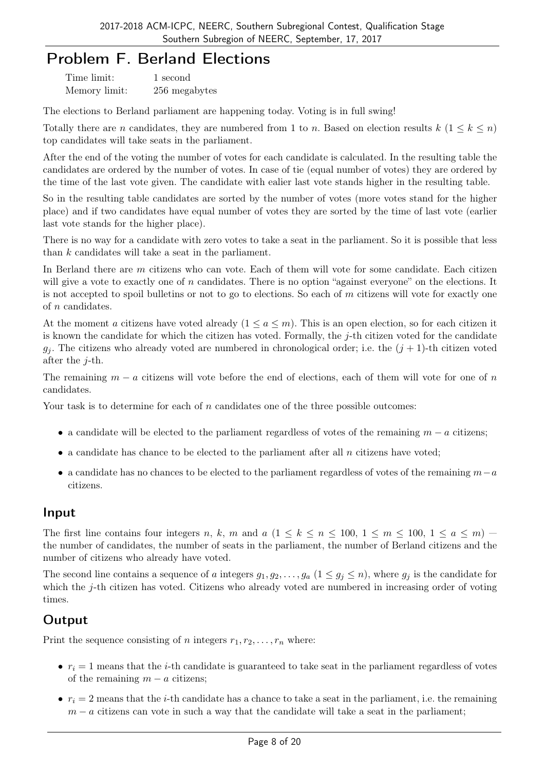## Problem F. Berland Elections

| Time limit:   | 1 second      |
|---------------|---------------|
| Memory limit: | 256 megabytes |

The elections to Berland parliament are happening today. Voting is in full swing!

Totally there are *n* candidates, they are numbered from 1 to *n*. Based on election results  $k$  ( $1 \leq k \leq n$ ) top candidates will take seats in the parliament.

After the end of the voting the number of votes for each candidate is calculated. In the resulting table the candidates are ordered by the number of votes. In case of tie (equal number of votes) they are ordered by the time of the last vote given. The candidate with ealier last vote stands higher in the resulting table.

So in the resulting table candidates are sorted by the number of votes (more votes stand for the higher place) and if two candidates have equal number of votes they are sorted by the time of last vote (earlier last vote stands for the higher place).

There is no way for a candidate with zero votes to take a seat in the parliament. So it is possible that less than *k* candidates will take a seat in the parliament.

In Berland there are *m* citizens who can vote. Each of them will vote for some candidate. Each citizen will give a vote to exactly one of *n* candidates. There is no option "against everyone" on the elections. It is not accepted to spoil bulletins or not to go to elections. So each of *m* citizens will vote for exactly one of *n* candidates.

At the moment *a* citizens have voted already  $(1 \le a \le m)$ . This is an open election, so for each citizen it is known the candidate for which the citizen has voted. Formally, the *j*-th citizen voted for the candidate  $g_i$ . The citizens who already voted are numbered in chronological order; i.e. the  $(j + 1)$ -th citizen voted after the *j*-th.

The remaining *m − a* citizens will vote before the end of elections, each of them will vote for one of *n* candidates.

Your task is to determine for each of *n* candidates one of the three possible outcomes:

- *•* a candidate will be elected to the parliament regardless of votes of the remaining *m − a* citizens;
- a candidate has chance to be elected to the parliament after all *n* citizens have voted;
- *•* a candidate has no chances to be elected to the parliament regardless of votes of the remaining *m−a* citizens.

#### Input

The first line contains four integers *n*, *k*, *m* and  $a$  ( $1 \leq k \leq n \leq 100, 1 \leq m \leq 100, 1 \leq a \leq m$ ) the number of candidates, the number of seats in the parliament, the number of Berland citizens and the number of citizens who already have voted.

The second line contains a sequence of *a* integers  $g_1, g_2, \ldots, g_a$   $(1 \leq g_j \leq n)$ , where  $g_j$  is the candidate for which the *j*-th citizen has voted. Citizens who already voted are numbered in increasing order of voting times.

#### **Output**

Print the sequence consisting of *n* integers  $r_1, r_2, \ldots, r_n$  where:

- $r_i = 1$  means that the *i*-th candidate is guaranteed to take seat in the parliament regardless of votes of the remaining  $m - a$  citizens;
- $r_i = 2$  means that the *i*-th candidate has a chance to take a seat in the parliament, i.e. the remaining *m* − *a* citizens can vote in such a way that the candidate will take a seat in the parliament;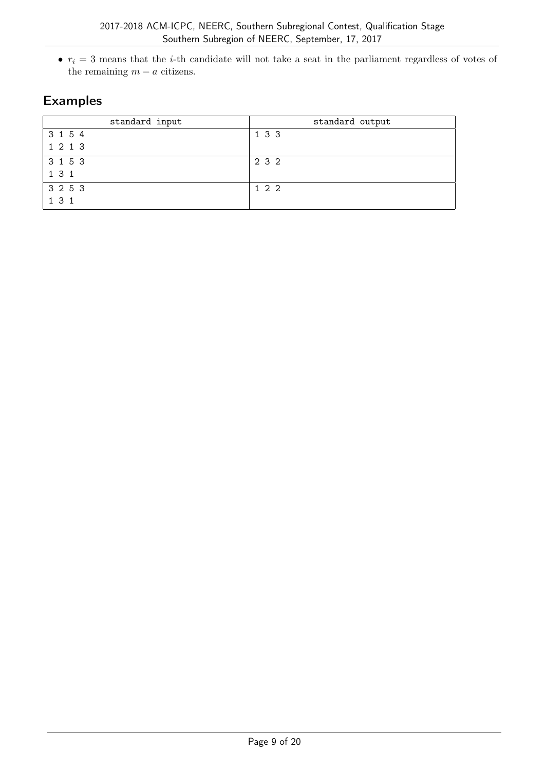$\bullet$   $r_i = 3$  means that the *i*-th candidate will not take a seat in the parliament regardless of votes of the remaining  $m - a$  citizens.

| standard input | standard output |
|----------------|-----------------|
| 3 1 5 4        | 1 3 3           |
| 1 2 1 3        |                 |
| 3 1 5 3        | 2 3 2           |
| 131            |                 |
| 3 2 5 3        | 122             |
| 131            |                 |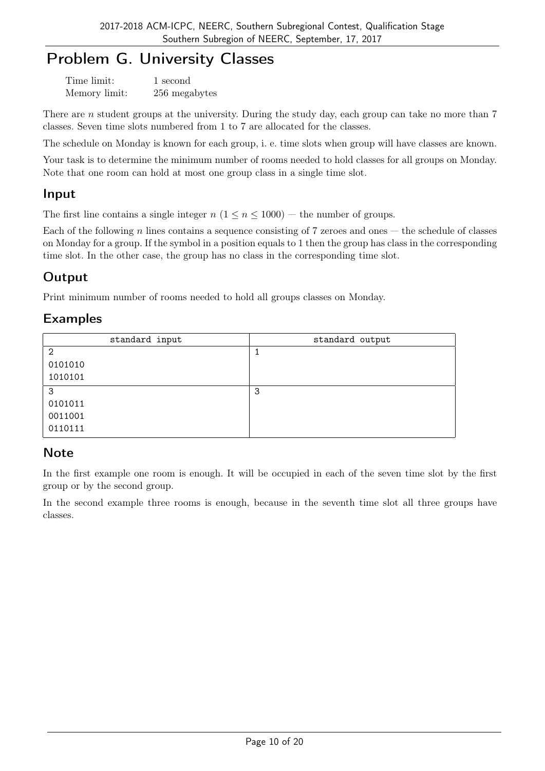# Problem G. University Classes

| Time limit:   | 1 second      |
|---------------|---------------|
| Memory limit: | 256 megabytes |

There are *n* student groups at the university. During the study day, each group can take no more than 7 classes. Seven time slots numbered from 1 to 7 are allocated for the classes.

The schedule on Monday is known for each group, i. e. time slots when group will have classes are known.

Your task is to determine the minimum number of rooms needed to hold classes for all groups on Monday. Note that one room can hold at most one group class in a single time slot.

#### Input

The first line contains a single integer  $n (1 \le n \le 1000)$  — the number of groups.

Each of the following *n* lines contains a sequence consisting of 7 zeroes and ones — the schedule of classes on Monday for a group. If the symbol in a position equals to 1 then the group has class in the corresponding time slot. In the other case, the group has no class in the corresponding time slot.

## **Output**

Print minimum number of rooms needed to hold all groups classes on Monday.

#### Examples

| standard input | standard output |
|----------------|-----------------|
| $\overline{2}$ |                 |
| 0101010        |                 |
| 1010101        |                 |
| 3              | 3               |
| 0101011        |                 |
| 0011001        |                 |
| 0110111        |                 |

## **Note**

In the first example one room is enough. It will be occupied in each of the seven time slot by the first group or by the second group.

In the second example three rooms is enough, because in the seventh time slot all three groups have classes.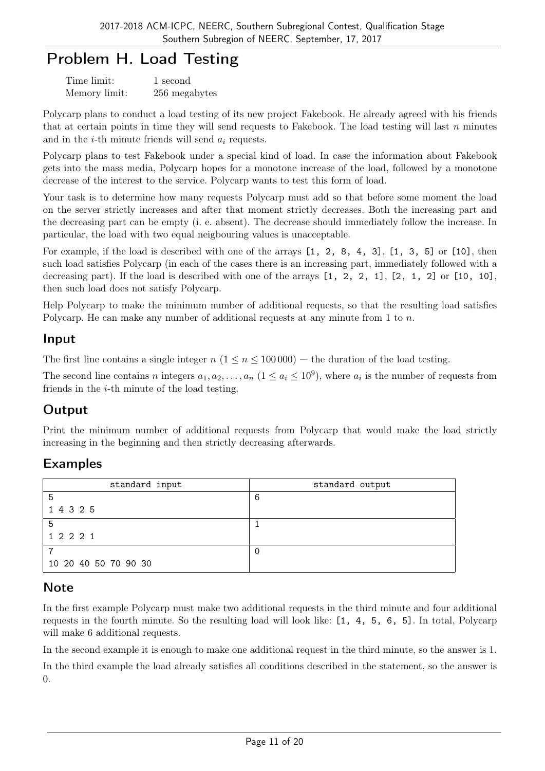# Problem H. Load Testing

| Time limit:   | 1 second      |
|---------------|---------------|
| Memory limit: | 256 megabytes |

Polycarp plans to conduct a load testing of its new project Fakebook. He already agreed with his friends that at certain points in time they will send requests to Fakebook. The load testing will last *n* minutes and in the *i*-th minute friends will send *a<sup>i</sup>* requests.

Polycarp plans to test Fakebook under a special kind of load. In case the information about Fakebook gets into the mass media, Polycarp hopes for a monotone increase of the load, followed by a monotone decrease of the interest to the service. Polycarp wants to test this form of load.

Your task is to determine how many requests Polycarp must add so that before some moment the load on the server strictly increases and after that moment strictly decreases. Both the increasing part and the decreasing part can be empty (i. e. absent). The decrease should immediately follow the increase. In particular, the load with two equal neigbouring values is unacceptable.

For example, if the load is described with one of the arrays [1, 2, 8, 4, 3], [1, 3, 5] or [10], then such load satisfies Polycarp (in each of the cases there is an increasing part, immediately followed with a decreasing part). If the load is described with one of the arrays [1, 2, 2, 1], [2, 1, 2] or [10, 10], then such load does not satisfy Polycarp.

Help Polycarp to make the minimum number of additional requests, so that the resulting load satisfies Polycarp. He can make any number of additional requests at any minute from 1 to *n*.

#### Input

The first line contains a single integer  $n (1 \le n \le 100000)$  — the duration of the load testing.

The second line contains *n* integers  $a_1, a_2, \ldots, a_n$   $(1 \le a_i \le 10^9)$ , where  $a_i$  is the number of requests from friends in the *i*-th minute of the load testing.

## **Output**

Print the minimum number of additional requests from Polycarp that would make the load strictly increasing in the beginning and then strictly decreasing afterwards.

## Examples

| standard input       | standard output |
|----------------------|-----------------|
| 5                    | 6               |
| 1 4 3 2 5            |                 |
| 5                    |                 |
| 1 2 2 2 1            |                 |
| ⇁                    |                 |
| 10 20 40 50 70 90 30 |                 |

## **Note**

In the first example Polycarp must make two additional requests in the third minute and four additional requests in the fourth minute. So the resulting load will look like: [1, 4, 5, 6, 5]. In total, Polycarp will make 6 additional requests.

In the second example it is enough to make one additional request in the third minute, so the answer is 1.

In the third example the load already satisfies all conditions described in the statement, so the answer is 0.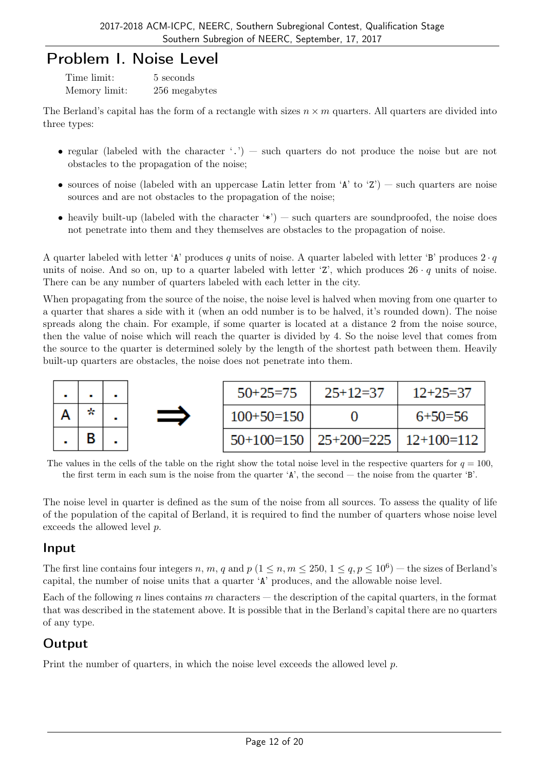## Problem I. Noise Level

| Time limit:   | 5 seconds     |
|---------------|---------------|
| Memory limit: | 256 megabytes |

The Berland's capital has the form of a rectangle with sizes  $n \times m$  quarters. All quarters are divided into three types:

- regular (labeled with the character '.') such quarters do not produce the noise but are not obstacles to the propagation of the noise;
- sources of noise (labeled with an uppercase Latin letter from 'A' to 'Z') such quarters are noise sources and are not obstacles to the propagation of the noise;
- heavily built-up (labeled with the character  $*\)$ ) such quarters are soundproofed, the noise does not penetrate into them and they themselves are obstacles to the propagation of noise.

A quarter labeled with letter 'A' produces q units of noise. A quarter labeled with letter 'B' produces  $2 \cdot q$ units of noise. And so on, up to a quarter labeled with letter 'Z', which produces  $26 \cdot q$  units of noise. There can be any number of quarters labeled with each letter in the city.

When propagating from the source of the noise, the noise level is halved when moving from one quarter to a quarter that shares a side with it (when an odd number is to be halved, it's rounded down). The noise spreads along the chain. For example, if some quarter is located at a distance 2 from the noise source, then the value of noise which will reach the quarter is divided by 4. So the noise level that comes from the source to the quarter is determined solely by the length of the shortest path between them. Heavily built-up quarters are obstacles, the noise does not penetrate into them.



The values in the cells of the table on the right show the total noise level in the respective quarters for  $q = 100$ , the first term in each sum is the noise from the quarter 'A', the second — the noise from the quarter 'B'.

The noise level in quarter is defined as the sum of the noise from all sources. To assess the quality of life of the population of the capital of Berland, it is required to find the number of quarters whose noise level exceeds the allowed level *p*.

## Input

The first line contains four integers *n*, *m*, *q* and *p* ( $1 \le n, m \le 250, 1 \le q, p \le 10^6$ ) — the sizes of Berland's capital, the number of noise units that a quarter 'A' produces, and the allowable noise level.

Each of the following *n* lines contains *m* characters — the description of the capital quarters, in the format that was described in the statement above. It is possible that in the Berland's capital there are no quarters of any type.

## Output

Print the number of quarters, in which the noise level exceeds the allowed level *p*.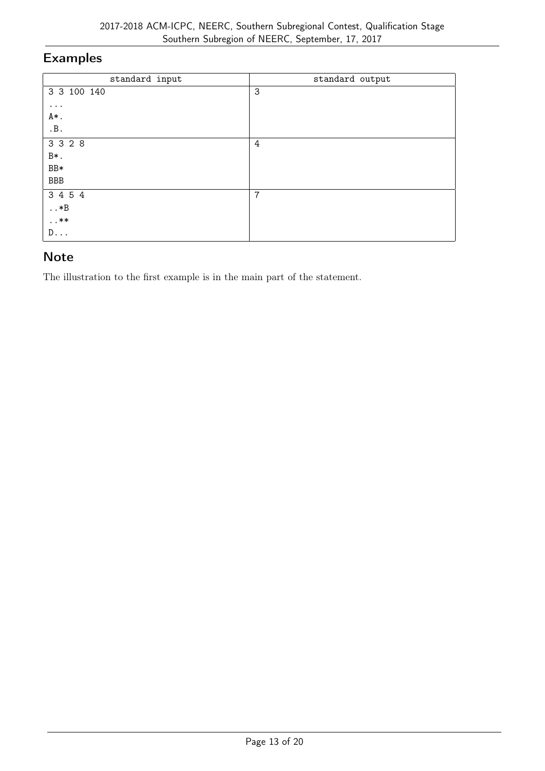| standard input | standard output |
|----------------|-----------------|
| 3 3 100 140    | 3               |
| $\cdots$       |                 |
| A*.            |                 |
| .B.            |                 |
| 3 3 2 8        | 4               |
| B*.            |                 |
| $BB*$          |                 |
| BBB            |                 |
| 3 4 5 4        | $\overline{7}$  |
| $\ldots *B$    |                 |
| $\dots$ **     |                 |
| $D \ldots$     |                 |

#### **Note**

The illustration to the first example is in the main part of the statement.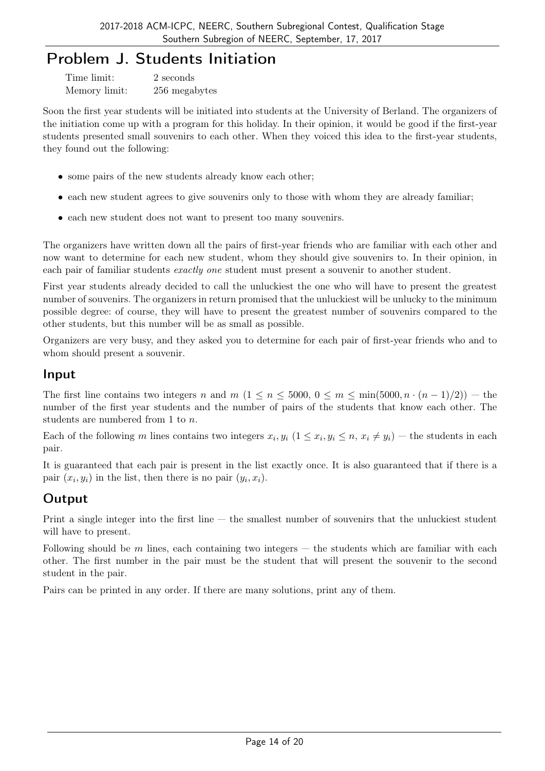## Problem J. Students Initiation

| Time limit:   | 2 seconds     |
|---------------|---------------|
| Memory limit: | 256 megabytes |

Soon the first year students will be initiated into students at the University of Berland. The organizers of the initiation come up with a program for this holiday. In their opinion, it would be good if the first-year students presented small souvenirs to each other. When they voiced this idea to the first-year students, they found out the following:

- some pairs of the new students already know each other;
- each new student agrees to give souvenirs only to those with whom they are already familiar;
- each new student does not want to present too many souvenirs.

The organizers have written down all the pairs of first-year friends who are familiar with each other and now want to determine for each new student, whom they should give souvenirs to. In their opinion, in each pair of familiar students *exactly one* student must present a souvenir to another student.

First year students already decided to call the unluckiest the one who will have to present the greatest number of souvenirs. The organizers in return promised that the unluckiest will be unlucky to the minimum possible degree: of course, they will have to present the greatest number of souvenirs compared to the other students, but this number will be as small as possible.

Organizers are very busy, and they asked you to determine for each pair of first-year friends who and to whom should present a souvenir.

#### Input

The first line contains two integers *n* and  $m$  ( $1 \leq n \leq 5000$ ,  $0 \leq m \leq \min(5000, n \cdot (n-1)/2)$ ) — the number of the first year students and the number of pairs of the students that know each other. The students are numbered from 1 to *n*.

Each of the following m lines contains two integers  $x_i, y_i$   $(1 \le x_i, y_i \le n, x_i \ne y_i)$  – the students in each pair.

It is guaranteed that each pair is present in the list exactly once. It is also guaranteed that if there is a pair  $(x_i, y_i)$  in the list, then there is no pair  $(y_i, x_i)$ .

## **Output**

Print a single integer into the first line — the smallest number of souvenirs that the unluckiest student will have to present.

Following should be *m* lines, each containing two integers — the students which are familiar with each other. The first number in the pair must be the student that will present the souvenir to the second student in the pair.

Pairs can be printed in any order. If there are many solutions, print any of them.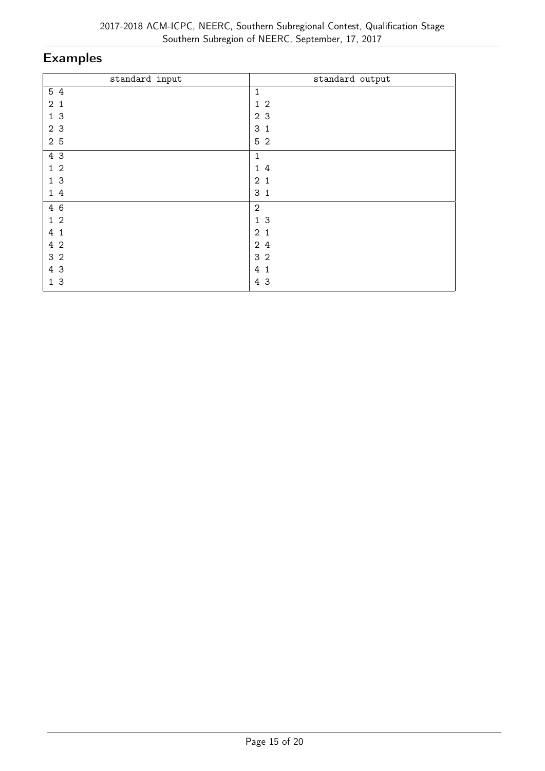| standard input | standard output     |
|----------------|---------------------|
| 5 4            | 1                   |
| 2 <sub>1</sub> | $\overline{2}$<br>1 |
| 1 <sub>3</sub> | 2 3                 |
| 2 3            | 3<br>$\mathbf{1}$   |
| 2 5            | 5 <sub>2</sub>      |
| 4 3            | 1                   |
| 1 <sub>2</sub> | 14                  |
| 1 <sub>3</sub> | 2 <sub>1</sub>      |
| 14             | 3 <sub>1</sub>      |
| 4 6            | $\sqrt{2}$          |
| $1\,2$         | 13                  |
| 4 1            | 2 <sub>1</sub>      |
| 4 2            | 24                  |
| 3 <sub>2</sub> | 3 <sub>2</sub>      |
| 4 3            | 4<br>$\mathbf{1}$   |
| 13             | 4 3                 |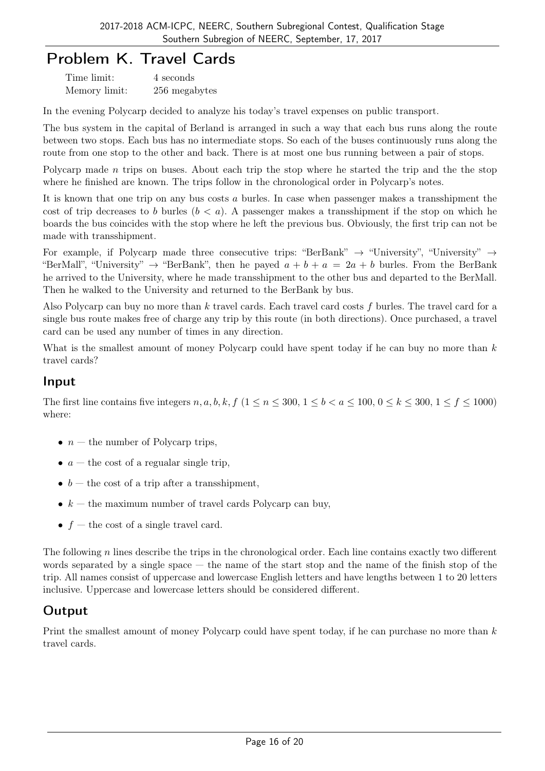# Problem K. Travel Cards

| Time limit:   | 4 seconds     |
|---------------|---------------|
| Memory limit: | 256 megabytes |

In the evening Polycarp decided to analyze his today's travel expenses on public transport.

The bus system in the capital of Berland is arranged in such a way that each bus runs along the route between two stops. Each bus has no intermediate stops. So each of the buses continuously runs along the route from one stop to the other and back. There is at most one bus running between a pair of stops.

Polycarp made *n* trips on buses. About each trip the stop where he started the trip and the the stop where he finished are known. The trips follow in the chronological order in Polycarp's notes.

It is known that one trip on any bus costs *a* burles. In case when passenger makes a transshipment the cost of trip decreases to *b* burles  $(b < a)$ . A passenger makes a transshipment if the stop on which he boards the bus coincides with the stop where he left the previous bus. Obviously, the first trip can not be made with transshipment.

For example, if Polycarp made three consecutive trips: "BerBank" *→* "University", "University" *→* "BerMall", "University"  $\rightarrow$  "BerBank", then he payed  $a + b + a = 2a + b$  burles. From the BerBank he arrived to the University, where he made transshipment to the other bus and departed to the BerMall. Then he walked to the University and returned to the BerBank by bus.

Also Polycarp can buy no more than *k* travel cards. Each travel card costs *f* burles. The travel card for a single bus route makes free of charge any trip by this route (in both directions). Once purchased, a travel card can be used any number of times in any direction.

What is the smallest amount of money Polycarp could have spent today if he can buy no more than *k* travel cards?

#### Input

The first line contains five integers  $n, a, b, k, f$  ( $1 \le n \le 300, 1 \le b < a \le 100, 0 \le k \le 300, 1 \le f \le 1000$ ) where:

- *n* the number of Polycarp trips,
- $a$  the cost of a regualar single trip,
- $b -$  the cost of a trip after a transshipment,
- $k -$  the maximum number of travel cards Polycarp can buy,
- $f$  the cost of a single travel card.

The following *n* lines describe the trips in the chronological order. Each line contains exactly two different words separated by a single space  $-$  the name of the start stop and the name of the finish stop of the trip. All names consist of uppercase and lowercase English letters and have lengths between 1 to 20 letters inclusive. Uppercase and lowercase letters should be considered different.

## Output

Print the smallest amount of money Polycarp could have spent today, if he can purchase no more than *k* travel cards.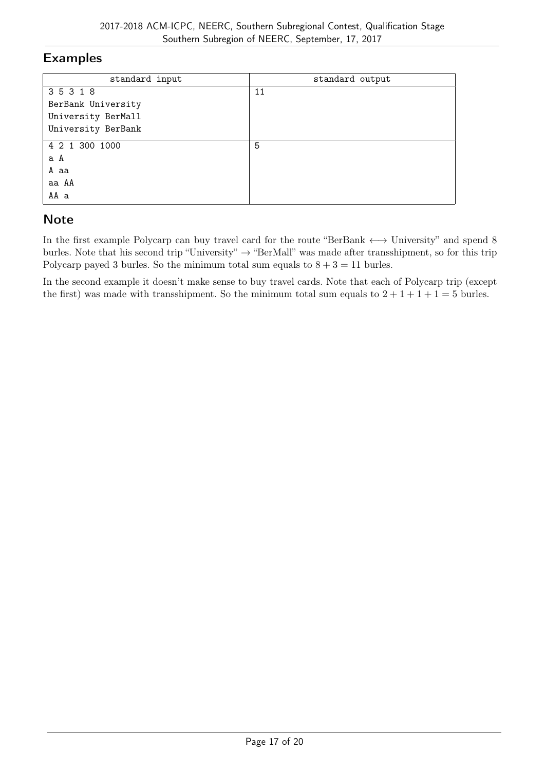| standard input     | standard output |
|--------------------|-----------------|
| 35318              | 11              |
| BerBank University |                 |
| University BerMall |                 |
| University BerBank |                 |
| 4 2 1 300 1000     | 5               |
| a A                |                 |
| A aa               |                 |
| aa AA              |                 |
| AA a               |                 |

## **Note**

In the first example Polycarp can buy travel card for the route "BerBank *←→* University" and spend 8 burles. Note that his second trip "University" *→* "BerMall" was made after transshipment, so for this trip Polycarp payed 3 burles. So the minimum total sum equals to  $8 + 3 = 11$  burles.

In the second example it doesn't make sense to buy travel cards. Note that each of Polycarp trip (except the first) was made with transshipment. So the minimum total sum equals to  $2 + 1 + 1 + 1 = 5$  burles.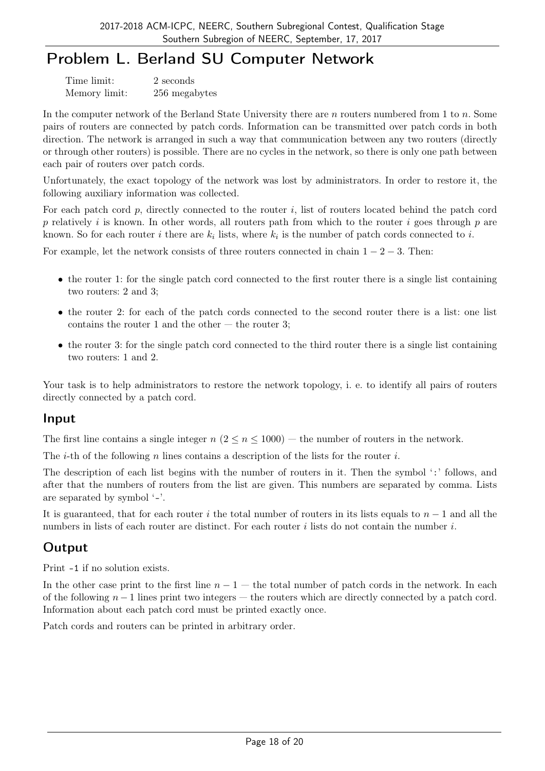# Problem L. Berland SU Computer Network

| Time limit:   | 2 seconds     |
|---------------|---------------|
| Memory limit: | 256 megabytes |

In the computer network of the Berland State University there are *n* routers numbered from 1 to *n*. Some pairs of routers are connected by patch cords. Information can be transmitted over patch cords in both direction. The network is arranged in such a way that communication between any two routers (directly or through other routers) is possible. There are no cycles in the network, so there is only one path between each pair of routers over patch cords.

Unfortunately, the exact topology of the network was lost by administrators. In order to restore it, the following auxiliary information was collected.

For each patch cord *p*, directly connected to the router *i*, list of routers located behind the patch cord *p* relatively *i* is known. In other words, all routers path from which to the router *i* goes through *p* are known. So for each router *i* there are  $k_i$  lists, where  $k_i$  is the number of patch cords connected to *i*.

For example, let the network consists of three routers connected in chain 1 *−* 2 *−* 3. Then:

- the router 1: for the single patch cord connected to the first router there is a single list containing two routers: 2 and 3;
- the router 2: for each of the patch cords connected to the second router there is a list: one list contains the router 1 and the other  $-$  the router 3;
- the router 3: for the single patch cord connected to the third router there is a single list containing two routers: 1 and 2.

Your task is to help administrators to restore the network topology, i. e. to identify all pairs of routers directly connected by a patch cord.

#### Input

The first line contains a single integer  $n (2 \le n \le 1000)$  — the number of routers in the network.

The *i*-th of the following *n* lines contains a description of the lists for the router *i*.

The description of each list begins with the number of routers in it. Then the symbol ':' follows, and after that the numbers of routers from the list are given. This numbers are separated by comma. Lists are separated by symbol '-'.

It is guaranteed, that for each router *i* the total number of routers in its lists equals to *n −* 1 and all the numbers in lists of each router are distinct. For each router *i* lists do not contain the number *i*.

## **Output**

Print -1 if no solution exists.

In the other case print to the first line  $n-1$  — the total number of patch cords in the network. In each of the following *n −* 1 lines print two integers — the routers which are directly connected by a patch cord. Information about each patch cord must be printed exactly once.

Patch cords and routers can be printed in arbitrary order.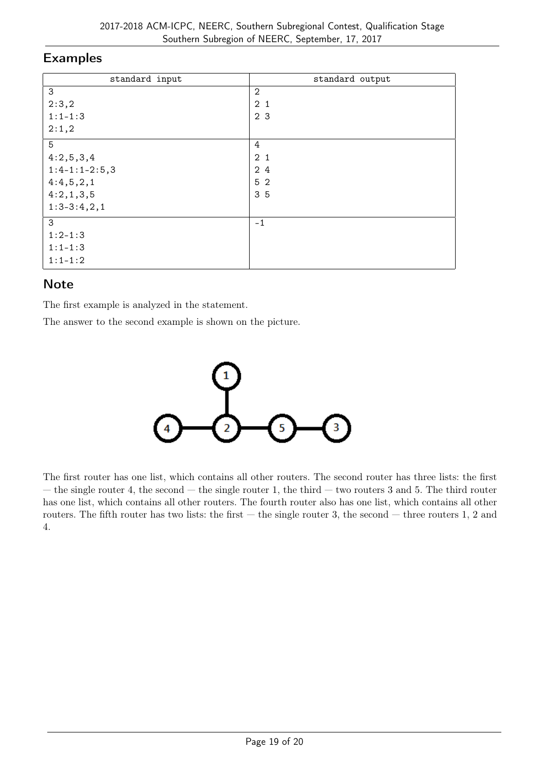| standard input  | standard output |
|-----------------|-----------------|
| 3               | $\mathbf{2}$    |
| 2:3,2           | 2 <sub>1</sub>  |
| $1:1 - 1:3$     | 2 <sub>3</sub>  |
| 2:1,2           |                 |
| 5               | 4               |
| 4:2,5,3,4       | 2 <sub>1</sub>  |
| $1:4-1:1-2:5,3$ | 2 4             |
| 4:4,5,2,1       | 5 <sub>2</sub>  |
| 4:2,1,3,5       | 35              |
| $1:3-3:4,2,1$   |                 |
| 3               | $-1$            |
| $1:2-1:3$       |                 |
| $1:1 - 1:3$     |                 |
| $1:1 - 1:2$     |                 |

## Note

The first example is analyzed in the statement.

The answer to the second example is shown on the picture.



The first router has one list, which contains all other routers. The second router has three lists: the first — the single router 4, the second — the single router 1, the third — two routers 3 and 5. The third router has one list, which contains all other routers. The fourth router also has one list, which contains all other routers. The fifth router has two lists: the first  $-$  the single router 3, the second  $-$  three routers 1, 2 and 4.